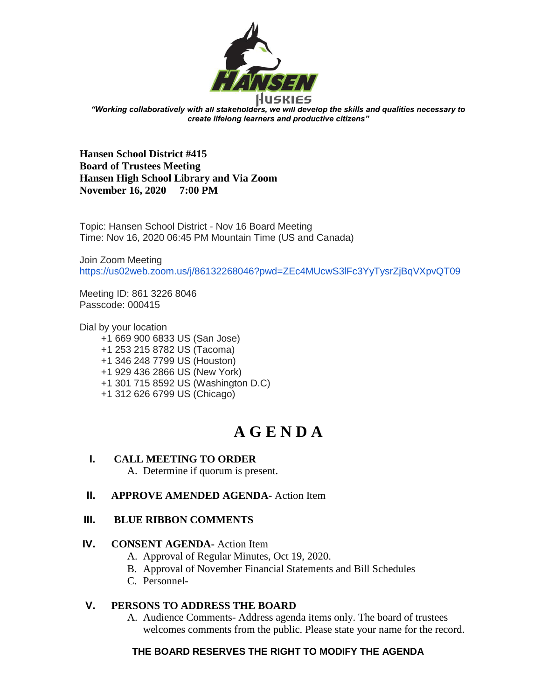

*"Working collaboratively with all stakeholders, we will develop the skills and qualities necessary to create lifelong learners and productive citizens"*

**Hansen School District #415 Board of Trustees Meeting Hansen High School Library and Via Zoom November 16, 2020 7:00 PM**

Topic: Hansen School District - Nov 16 Board Meeting Time: Nov 16, 2020 06:45 PM Mountain Time (US and Canada)

Join Zoom Meeting <https://us02web.zoom.us/j/86132268046?pwd=ZEc4MUcwS3lFc3YyTysrZjBqVXpvQT09>

Meeting ID: 861 3226 8046 Passcode: 000415

Dial by your location +1 669 900 6833 US (San Jose) +1 253 215 8782 US (Tacoma) +1 346 248 7799 US (Houston) +1 929 436 2866 US (New York) +1 301 715 8592 US (Washington D.C) +1 312 626 6799 US (Chicago)

# **A G E N D A**

# **I. CALL MEETING TO ORDER**

A. Determine if quorum is present.

# **II. APPROVE AMENDED AGENDA**- Action Item

#### **III. BLUE RIBBON COMMENTS**

#### **IV. CONSENT AGENDA-** Action Item

- A. Approval of Regular Minutes, Oct 19, 2020.
- B. Approval of November Financial Statements and Bill Schedules
- C. Personnel-

#### **V. PERSONS TO ADDRESS THE BOARD**

A. Audience Comments- Address agenda items only. The board of trustees welcomes comments from the public. Please state your name for the record.

# **THE BOARD RESERVES THE RIGHT TO MODIFY THE AGENDA**